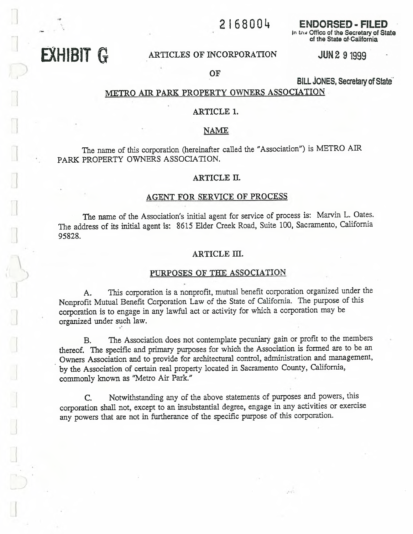## 2 1 6 8 0 0 4

**ENDORSED - FILED** In the Office of the Secretary of State of the State of California

# EXHIBIT G ARTICLES OF INCORPORATION

**JUN 2 9 1999** 

OF

**BILL JONES, Secretary of State** 

## METRO AIR PARK PROPERTY OWNERS ASSOCIATION

### ARTICLE 1.

### NAME

The name of this corporation (hereinafter called the "Association") is METRO AIR PARK PROPERTY OWNERS ASSOCIATION.

#### ARTICLE II.

#### AGENT FOR SERVICE OF PROCESS

The name of the Association's initial agent for service of process is: Marvin L. Oates. The address of its initial agent is: 8615 Elder Creek Road, Suite 100, Sacramento, California 95828.

#### ARTICLE III.

## PURPOSES OF THE ASSOCIATION

A. This corporation is a nonprofit, mutual benefit corporation organized under the Nonprofit Mutual Benefit Corporation Law of the State of California. The purpose of this corporation is to engage in any lawful act or activity for which a corporation may be organized under such law.

B. The Association does not contemplate pecuniary gain or profit to the members thereof. The specific and primary purposes for which the Association is formed are to be an Owners Association and to provide for architectural control, administration and management, by the Association of certain real property located in Sacramento County, California, commonly known as "Metro Air Park."

C. Notwithstanding any of the above statements of purposes and powers, this corporation shall not, except to an insubstantial degree, engage in any activities or exercise any powers that are not in furtherance of the specific purpose of this corporation.

 $\mathcal{L} \leq 1$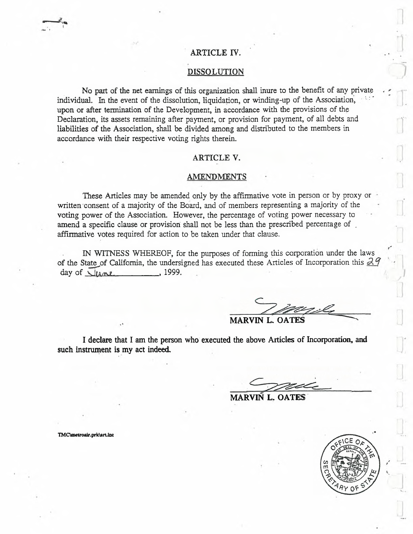## ARTICLE IV.

### DISSOLUTION

No part of the net earnings of this organization shall inure to the benefit of any private individual. In the event of the dissolution, liquidation, or winding-up of the Association, upon or after termination of the Development, in accordance with the provisions of the Declaration, its assets remaining after payment, or provision for payment, of all debts and liabilities of the Association, shall be divided among and distributed to the members in accordance with their respective voting rights therein.

### ARTICLE V.

#### AMENDMENTS

These Articles may be amended only by the affirmative vote in person or by proxy or written consent of a majority of the Board, and of members representing a majority of the voting power of the Association. However, the percentage of voting power necessary to amend a specific clause or provision shall not be less than the prescribed percentage of affirmative votes required for action to be taken under that clause.

IN WITNESS WHEREOF, for the purposes of forming this corporation under the laws of the State of California, the undersigned has executed these Articles of Incorporation this  $\partial \mathcal{A}$  $day of  $\sqrt{u}$  1999.$ 

MARVIN L. OATE

I declare that I am the person who executed the above Articles of Incorporation, and such instrument is my act indeed.

MARVIN L. OATES



TMC\metroair.prk\art.inc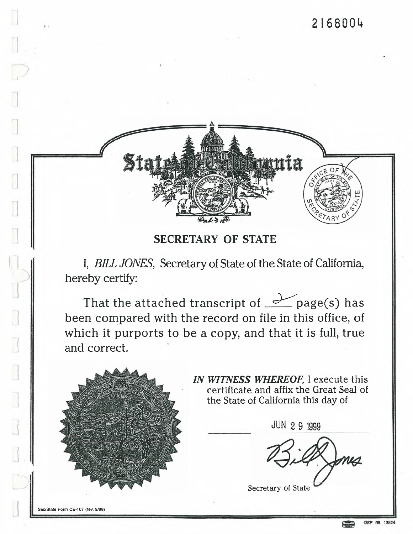

**SECRETARY OF STATE**

I, *BILL JONES,* Secretary of State of the State of California, hereby certify:

That the attached transcript of  $\angle$  page(s) has been compared with the record on file in this office, of which it purports to be a copy, and that it is full, true and correct.



*IN WITNESS WHEREOF,* I execute this certificate and affix the Great Seal of the State of California this day of

JUN 2 9 <sup>1999</sup> Secretary of State

I

 $\begin{bmatrix} 1 \\ 1 \\ 1 \end{bmatrix}$